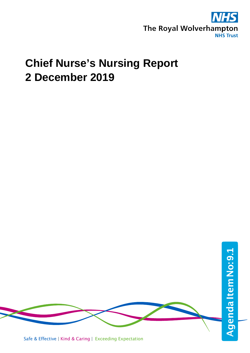

# **Chief Nurse's Nursing Report 2 December 2019**

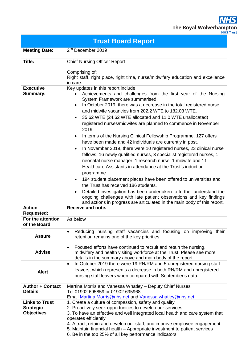**NHS** The Royal Wolverhampton

|  | ,∽        | ---- |  |
|--|-----------|------|--|
|  | JHS Trust |      |  |

|                                                                | <b>Trust Board Report</b>                                                                                                                                                                                                                                                                                                                                                                                                                                                                                                                                                                                                                                                                                                                                                                                                                                                                                                                                                                                                                                                                                                                                                                         |  |  |  |  |  |  |  |
|----------------------------------------------------------------|---------------------------------------------------------------------------------------------------------------------------------------------------------------------------------------------------------------------------------------------------------------------------------------------------------------------------------------------------------------------------------------------------------------------------------------------------------------------------------------------------------------------------------------------------------------------------------------------------------------------------------------------------------------------------------------------------------------------------------------------------------------------------------------------------------------------------------------------------------------------------------------------------------------------------------------------------------------------------------------------------------------------------------------------------------------------------------------------------------------------------------------------------------------------------------------------------|--|--|--|--|--|--|--|
| <b>Meeting Date:</b>                                           | 2 <sup>nd</sup> December 2019                                                                                                                                                                                                                                                                                                                                                                                                                                                                                                                                                                                                                                                                                                                                                                                                                                                                                                                                                                                                                                                                                                                                                                     |  |  |  |  |  |  |  |
| Title:<br><b>Executive</b>                                     | <b>Chief Nursing Officer Report</b><br>Comprising of:<br>Right staff, right place, right time, nurse/midwifery education and excellence<br>in care.<br>Key updates in this report include:                                                                                                                                                                                                                                                                                                                                                                                                                                                                                                                                                                                                                                                                                                                                                                                                                                                                                                                                                                                                        |  |  |  |  |  |  |  |
| Summary:                                                       | Achievements and challenges from the first year of the Nursing<br>System Framework are summarised.<br>In October 2019, there was a decrease in the total registered nurse<br>and midwife vacancies from 202.2 WTE to 182.03 WTE.<br>35.62 WTE (24.62 WTE allocated and 11.0 WTE unallocated)<br>$\bullet$<br>registered nurses/midwifes are planned to commence in November<br>2019.<br>In terms of the Nursing Clinical Fellowship Programme, 127 offers<br>have been made and 42 individuals are currently in post.<br>In November 2019, there were 10 registered nurses, 23 clinical nurse<br>$\bullet$<br>fellows, 16 newly qualified nurses, 3 specialist registered nurses, 1<br>neonatal nurse manager, 1 research nurse, 1 midwife and 11<br>Healthcare Assistants in attendance at the Trust's induction<br>programme.<br>194 student placement places have been offered to universities and<br>$\bullet$<br>the Trust has received 186 students.<br>Detailed investigation has been undertaken to further understand the<br>$\bullet$<br>ongoing challenges with late patient observations and key findings<br>and actions in progress are articulated in the main body of this report. |  |  |  |  |  |  |  |
| <b>Action</b><br><b>Requested:</b>                             | Receive and note.                                                                                                                                                                                                                                                                                                                                                                                                                                                                                                                                                                                                                                                                                                                                                                                                                                                                                                                                                                                                                                                                                                                                                                                 |  |  |  |  |  |  |  |
| For the attention<br>of the Board                              | As below                                                                                                                                                                                                                                                                                                                                                                                                                                                                                                                                                                                                                                                                                                                                                                                                                                                                                                                                                                                                                                                                                                                                                                                          |  |  |  |  |  |  |  |
| <b>Assure</b>                                                  | Reducing nursing staff vacancies and focusing on improving their<br>$\bullet$<br>retention remains one of the key priorities.                                                                                                                                                                                                                                                                                                                                                                                                                                                                                                                                                                                                                                                                                                                                                                                                                                                                                                                                                                                                                                                                     |  |  |  |  |  |  |  |
| <b>Advise</b>                                                  | Focused efforts have continued to recruit and retain the nursing,<br>$\bullet$<br>midwifery and health visiting workforce at the Trust. Please see more<br>details in the summary above and main body of the report.                                                                                                                                                                                                                                                                                                                                                                                                                                                                                                                                                                                                                                                                                                                                                                                                                                                                                                                                                                              |  |  |  |  |  |  |  |
| <b>Alert</b>                                                   | In October 2019 there were 19 RN/RM and 5 unregistered nursing staff<br>$\bullet$<br>leavers, which represents a decrease in both RN/RM and unregistered<br>nursing staff leavers when compared with September's data.                                                                                                                                                                                                                                                                                                                                                                                                                                                                                                                                                                                                                                                                                                                                                                                                                                                                                                                                                                            |  |  |  |  |  |  |  |
| <b>Author + Contact</b><br><b>Details:</b>                     | Martina Morris and Vanessa Whatley – Deputy Chief Nurses<br>Tel 01902 695859 or 01902 695968<br>Email Martina. Morris@nhs.net and Vanessa. whatley@nhs.net                                                                                                                                                                                                                                                                                                                                                                                                                                                                                                                                                                                                                                                                                                                                                                                                                                                                                                                                                                                                                                        |  |  |  |  |  |  |  |
| <b>Links to Trust</b><br><b>Strategic</b><br><b>Objectives</b> | 1. Create a culture of compassion, safety and quality<br>2. Proactively seek opportunities to develop our services<br>3. To have an effective and well integrated local health and care system that<br>operates efficiently<br>4. Attract, retain and develop our staff, and improve employee engagement<br>5. Maintain financial health – Appropriate investment to patient services<br>6. Be in the top 25% of all key performance indicators                                                                                                                                                                                                                                                                                                                                                                                                                                                                                                                                                                                                                                                                                                                                                   |  |  |  |  |  |  |  |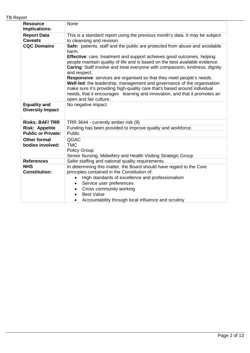|  | <b>TB Report</b> |  |
|--|------------------|--|
|--|------------------|--|

| None                                                                                                                                                                                                                                                                                                                                                                                                                                                                                                                                                                                                                                                               |  |  |  |  |  |  |  |
|--------------------------------------------------------------------------------------------------------------------------------------------------------------------------------------------------------------------------------------------------------------------------------------------------------------------------------------------------------------------------------------------------------------------------------------------------------------------------------------------------------------------------------------------------------------------------------------------------------------------------------------------------------------------|--|--|--|--|--|--|--|
|                                                                                                                                                                                                                                                                                                                                                                                                                                                                                                                                                                                                                                                                    |  |  |  |  |  |  |  |
| This is a standard report using the previous month's data. It may be subject<br>to cleansing and revision.                                                                                                                                                                                                                                                                                                                                                                                                                                                                                                                                                         |  |  |  |  |  |  |  |
| Safe: patients, staff and the public are protected from abuse and avoidable<br>harm.<br><b>Effective:</b> care, treatment and support achieves good outcomes, helping<br>people maintain quality of life and is based on the best available evidence.<br>Caring: Staff involve and treat everyone with compassion, kindness, dignity<br>and respect.<br>Responsive: services are organised so that they meet people's needs.<br>Well-led: the leadership, management and governance of the organisation<br>make sure it's providing high-quality care that's based around individual<br>needs, that it encourages learning and innovation, and that it promotes an |  |  |  |  |  |  |  |
| open and fair culture.<br>No negative impact.<br><b>Diversity Impact</b>                                                                                                                                                                                                                                                                                                                                                                                                                                                                                                                                                                                           |  |  |  |  |  |  |  |
|                                                                                                                                                                                                                                                                                                                                                                                                                                                                                                                                                                                                                                                                    |  |  |  |  |  |  |  |
| TRR 3644 - currently amber risk (9)                                                                                                                                                                                                                                                                                                                                                                                                                                                                                                                                                                                                                                |  |  |  |  |  |  |  |
| Funding has been provided to improve quality and workforce.                                                                                                                                                                                                                                                                                                                                                                                                                                                                                                                                                                                                        |  |  |  |  |  |  |  |
| Public                                                                                                                                                                                                                                                                                                                                                                                                                                                                                                                                                                                                                                                             |  |  |  |  |  |  |  |
| QGAC<br><b>TMC</b><br><b>Policy Group</b><br>Senior Nursing, Midwifery and Health Visiting Strategic Group                                                                                                                                                                                                                                                                                                                                                                                                                                                                                                                                                         |  |  |  |  |  |  |  |
| Safer staffing and national quality requirements.                                                                                                                                                                                                                                                                                                                                                                                                                                                                                                                                                                                                                  |  |  |  |  |  |  |  |
| In determining this matter, the Board should have regard to the Core<br>principles contained in the Constitution of:<br>High standards of excellence and professionalism<br>Service user preferences<br>$\bullet$<br>Cross community working<br><b>Best Value</b><br>Accountability through local influence and scrutiny                                                                                                                                                                                                                                                                                                                                           |  |  |  |  |  |  |  |
|                                                                                                                                                                                                                                                                                                                                                                                                                                                                                                                                                                                                                                                                    |  |  |  |  |  |  |  |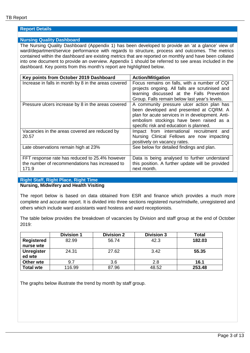# **Report Details**

#### **Nursing Quality Dashboard**

The Nursing Quality Dashboard (Appendix 1) has been developed to provide an 'at a glance' view of ward/department/service performance with regards to structure, process and outcomes. The metrics contained within the dashboard are existing metrics that are reported on monthly and have been collated into one document to provide an overview. Appendix 1 should be referred to see areas included in the dashboard. Key points from this month's report are highlighted below.

| Key points from October 2019 Dashboard               | <b>Action/Mitigation</b>                         |
|------------------------------------------------------|--------------------------------------------------|
| Increase in falls in month by 8 in the areas covered | Focus remains on falls, with a number of CQI     |
|                                                      | projects ongoing. All falls are scrutinised and  |
|                                                      | learning discussed at the Falls Prevention       |
|                                                      | Group. Falls remain below last year's levels.    |
| Pressure ulcers increase by 8 in the areas covered   | A community pressure ulcer action plan has       |
|                                                      | been developed and presented at CQRM. A          |
|                                                      | plan for acute services in in development. Anti- |
|                                                      | embolism stockings have been raised as a         |
|                                                      | specific risk and education is planned.          |
| Vacancies in the areas covered are reduced by        | Impact from international recruitment and        |
| 20.57                                                | Nursing Clinical Fellows are now impacting       |
|                                                      | positively on vacancy rates.                     |
| Late observations remain high at 23%                 | See below for detailed findings and plan.        |
|                                                      |                                                  |
| FFT response rate has reduced to 25.4% however       | Data is being analysed to further understand     |
| the number of recommendations has increased to       | this position. A further update will be provided |
| 171.9                                                | next month.                                      |

# **Right Staff, Right Place, Right Time**

# **Nursing, Midwifery and Health Visiting**

The report below is based on data obtained from ESR and finance which provides a much more complete and accurate report. It is divided into three sections registered nurse/midwife, unregistered and others which include ward assistants ward hostess and ward receptionists.

The table below provides the breakdown of vacancies by Division and staff group at the end of October  $2019$ 

|                   | <b>Division 1</b> | <b>Division 2</b> | <b>Division 3</b> | <b>Total</b> |
|-------------------|-------------------|-------------------|-------------------|--------------|
| <b>Registered</b> | 82.99             | 56.74             | 42.3              | 182.03       |
| nurse wte         |                   |                   |                   |              |
| <b>Unregister</b> | 24.31             | 27.62             | 3.42              | 55.35        |
| ed wte            |                   |                   |                   |              |
| Other wte         | 9.7               | 3.6               | 2.8               | 16.1         |
| <b>Total wte</b>  | 116.99            | 87.96             | 48.52             | 253.48       |

The graphs below illustrate the trend by month by staff group.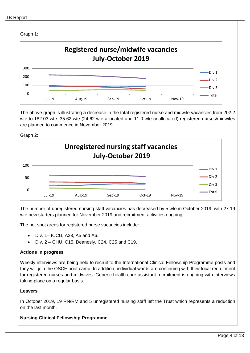

The above graph is illustrating a decrease in the total registered nurse and midwife vacancies from 202.2 wte to 182.03 wte. 35.62 wte (24.62 wte allocated and 11.0 wte unallocated) registered nurses/midwifes are planned to commence in November 2019.





The number of unregistered nursing staff vacancies has decreased by 5 wte in October 2019, with 27.19 wte new starters planned for November 2019 and recruitment activities ongoing.

The hot spot areas for registered nurse vacancies include:

- Div. 1– ICCU, A23, A5 and A6.
- $\bullet$  Div. 2 CHU, C15, Deanesly, C24, C25 and C19.

# **Actions in progress**

Weekly interviews are being held to recruit to the International Clinical Fellowship Programme posts and they will join the OSCE boot camp. In addition, individual wards are continuing with their local recruitment for registered nurses and midwives. Generic health care assistant recruitment is ongoing with interviews taking place on a regular basis.

# **Leavers**

In October 2019, 19 RN/RM and 5 unregistered nursing staff left the Trust which represents a reduction on the last month.

# **Nursing Clinical Fellowship Programme**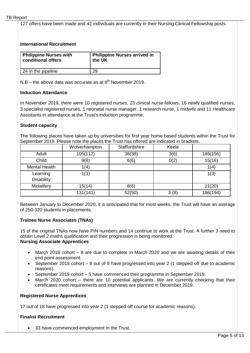127 offers have been made and 42 individuals are currently in their Nursing Clinical Fellowship posts.

# **International Recruitment**

| <b>Philippine Nurses with</b> | Philippine Nurses arrived in |
|-------------------------------|------------------------------|
| conditional offers            | the UK                       |
| 24 in the pipeline            | 29                           |

 $N.B$  – the above data was accurate as at  $6<sup>th</sup>$  November 2019.

#### **Induction Attendance**

In November 2019, there were 10 registered nurses, 23 clinical nurse fellows, 16 newly qualified nurses, 3 specialist registered nurses, 1 neonatal nurse manager, 1 research nurse, 1 midwife and 11 Healthcare Assistants in attendance at the Trust's induction programme.

#### **Student capacity**

The following places have taken up by universities for first year home based students within the Trust for September 2019. Please note the places the Trust has offered are indicated in brackets.

|                      | Wolverhampton | Staffordshire | Keele |          |
|----------------------|---------------|---------------|-------|----------|
| Adult                | 105(112)      | 38(38)        | 3(6)  | 146(156) |
| Child                | 9(8)          | 6(6)          | 0(2)  | 15(16)   |
| <b>Mental Health</b> | 1(4)          |               |       | 1(4)     |
| Learning             | 1(3)          |               |       | 1(3)     |
| <b>Disability</b>    |               |               |       |          |
| Midwifery            | 15(14)        | 8(6)          |       | 21(20)   |
|                      | 131(141)      | 52(50)        | 3(8)  | 186(194) |

Between January to December 2020, it is anticipated that for most weeks, the Trust will have an average of 250-320 students in placements.

# **Trainee Nurse Associates (TNAs)**

15 of the original TNAs now have PIN numbers and 14 continue to work at the Trust. A further 3 need to obtain Level 2 maths qualification and their progression is being monitored. **Nursing Associate Apprentices**

- March 2018 cohort 8 are due to complete in March 2020 and we are awaiting details of their end point assessment.
- September 2018 cohort 8 out of 9 have progressed into year 2 (1 stepped off due to academic reasons).
- September 2019 cohort 5 have commenced their programme in September 2019.
- March 2020 cohort there are 10 potential applicants. We are currently checking that their certificates meet requirements and interviews are planned in December 2019.

# **Registered Nurse Apprentices**

17 out of 18 have progressed into year 2 (1 stepped off course for academic reasons).

# **Finalist Recruitment**

• 33 have commenced employment in the Trust.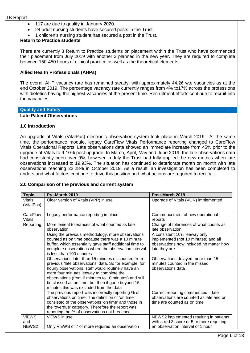- 117 are due to qualify in January 2020.
- 24 adult nursing students have secured posts in the Trust.
- 1 children's nursing student has secured a post in the Trust.

## **Return to Practice students**

There are currently 3 Return to Practice students on placement within the Trust who have commenced their placement from July 2019 with another 3 planned in the new year. They are required to complete between 150-450 hours of clinical practice as well as the theoretical elements.

#### **Allied Health Professionals (AHPs)**

The overall AHP vacancy rate has remained steady, with approximately 44.26 wte vacancies as at the end October 2019. The percentage vacancy rate currently ranges from 4% to17% across the professions with dietetics having the highest vacancies at the present time. Recruitment efforts continue to recruit into the vacancies.

#### **Quality and Safety**

#### **Late Patient Observations**

#### **1.0 Introduction**

An upgrade of Vitals (VitalPac) electronic observation system took place in March 2019. At the same time, the performance module, legacy CareFlow Vitals Performance reporting changed to CareFlow Vitals Operational Reports. Late observations data showed an immediate increase from <5% prior to the upgrade of Vitals to 9-10% post upgrade. In March, April, May and June 2019, the late observations data had consistently been over 9%, however in July the Trust had fully applied the new metrics when late observations increased to 19.93%. The situation has continued to deteriorate month on month with late observations reaching 22.28% in October 2019. As a result, an investigation has been completed to understand what factors continue to drive this position and what actions are required to rectify it.

#### **2.0 Comparison of the previous and current system**

| <b>Topic</b>                 | Pre-March 2019                                                                                                                                                                                                                                                                                                                                                           | Post-March 2019                                                                                                                  |
|------------------------------|--------------------------------------------------------------------------------------------------------------------------------------------------------------------------------------------------------------------------------------------------------------------------------------------------------------------------------------------------------------------------|----------------------------------------------------------------------------------------------------------------------------------|
| Vitals<br>(VitalPac)         | Older version of Vitals (VPP) in use                                                                                                                                                                                                                                                                                                                                     | Upgrade of Vitals (VOR) implemented                                                                                              |
| CareFlow<br><b>Vitals</b>    | Legacy performance reporting in place                                                                                                                                                                                                                                                                                                                                    | Commencement of new operational<br>reports                                                                                       |
| Reporting                    | More lenient tolerances of what counted as late<br>observation                                                                                                                                                                                                                                                                                                           | Change of tolerances of what counts as<br>late observation                                                                       |
|                              | Using the previous methodology, more observations<br>counted as on time because there was a 10 minute<br>buffer, which essentially gave staff additional time to<br>complete observations where the observation interval<br>is less than 100 minutes                                                                                                                     | A consistent 10% leeway only<br>implemented (not 10 minutes) and all<br>observations now included no matter how<br>late they are |
|                              | Observations later than 15 minutes discounted from<br>previous 'late observations' data. So for example, for<br>hourly observations, staff would routinely have an<br>extra four minutes leeway to complete the<br>observations (from 6 minutes to 10 minutes) and still<br>be classed as on time, but then if gone beyond 15<br>minutes this was excluded from the data | Observations delayed more than 15<br>minutes counted in the missed<br>observations data                                          |
|                              | The previous report was incorrectly reporting % of<br>observations on time. The definition of 'on time'<br>consisted of the observations 'on time' and those in<br>the 'overdue' category. Therefore the report was<br>reporting the % of observations not breached                                                                                                      | Correct reporting commenced - late<br>observations are counted as late and on<br>time are counted as on time                     |
| <b>ViEWS</b><br>and<br>NEWS2 | ViEWS in use<br>Only ViEWS of 7 or more required an observation                                                                                                                                                                                                                                                                                                          | NEWS2 implemented resulting in patients<br>with a red 3 score or 5 or more requiring<br>an observation interval of 1 hour        |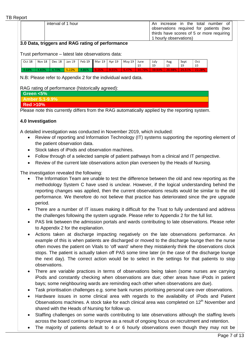| interval of 1 hour | increase in the total number of<br>An.    |
|--------------------|-------------------------------------------|
|                    | observations required for patients (two   |
|                    | thirds have scores of 5 or more requiring |
|                    | 1 hourly observations)                    |

# **3.0 Data, triggers and RAG rating of performance**

Trust performance – latest late observations data:

| <b>Oct 18</b> |        |       |       | Nov 18   Dec 18   Jan 19   Feb 19    Mar 19   Apr 19   May 19   June |  |  | July | Aug | Sept | Oct |
|---------------|--------|-------|-------|----------------------------------------------------------------------|--|--|------|-----|------|-----|
|               |        |       |       |                                                                      |  |  |      |     |      |     |
| 4.68%         | -4.85% | 4.70% | 5.22% | 4.86%                                                                |  |  |      |     |      |     |

N.B: Please refer to Appendix 2 for the individual ward data.

# RAG rating of performance (historically agreed):

|                    | ____ | ___ |  |     |  |
|--------------------|------|-----|--|-----|--|
| Green <5%          |      |     |  |     |  |
| Amber 5.1-9.9%     |      |     |  |     |  |
| <b>Red &gt;10%</b> |      |     |  |     |  |
|                    |      |     |  | . . |  |

Please note this currently differs from the RAG automatically applied by the reporting system.

# **4.0 Investigation**

A detailed investigation was conducted in November 2019, which included:

- Review of reporting and Information Technology (IT) systems supporting the reporting element of the patient observation data.
- Stock takes of iPods and observation machines.
- Follow through of a selected sample of patient pathways from a clinical and IT perspective.
- Review of the current late observations action plan overseen by the Heads of Nursing.

The investigation revealed the following:

- The Information Team are unable to test the difference between the old and new reporting as the methodology System C have used is unclear. However, if the logical understanding behind the reporting changes was applied, then the current observations results would be similar to the old performance. We therefore do not believe that practice has deteriorated since the pre upgrade period.
- There are a number of IT issues making it difficult for the Trust to fully understand and address the challenges following the system upgrade. Please refer to Appendix 2 for the full list.
- PAS link between the admission portals and wards contributing to late observations. Please refer to Appendix 2 for the explanation.
- Actions taken at discharge impacting negatively on the late observations performance. An example of this is when patients are discharged or moved to the discharge lounge then the nurse often moves the patient on Vitals to 'off ward' where they mistakenly think the observations clock stops. The patient is actually taken off PAS some time later (in the case of the discharge lounge the next day). The correct action would be to select in the settings for that patients to stop observations.
- There are variable practices in terms of observations being taken (some nurses are carrying iPods and constantly checking when observations are due; other areas have iPods in patient bays; some neighbouring wards are reminding each other when observations are due).
- Task prioritisation challenges e.g. some bank nurses prioritising personal care over observations.
- Hardware issues in some clinical area with regards to the availability of iPods and Patient Observations machines. A stock take for each clinical area was completed on  $12<sup>th</sup>$  November and shared with the Heads of Nursing for follow up.
- Staffing challenges on some wards contributing to late observations although the staffing levels across the board continue to improve as a result of ongoing focus on recruitment and retention.
- The majority of patients default to 4 or 6 hourly observations even though they may not be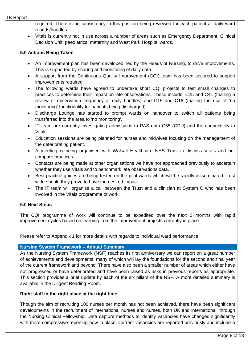required. There is no consistency in this position being reviewed for each patient at daily ward rounds/huddles.

• Vitals is currently not in use across a number of areas such as Emergency Department, Clinical Decision Unit, paediatrics, maternity and West Park Hospital wards.

# **5.0 Actions Being Taken**

- An improvement plan has been developed, led by the Heads of Nursing, to drive improvements. This is supported by sharing and monitoring of daily data.
- A support from the Continuous Quality Improvement (CQI) team has been secured to support improvements required.
- The following wards have agreed to undertake short CQI projects to test small changes to practices to determine their impact on late observations. These include, C25 and C41 (trialling a review of observation frequency at daily huddles) and C15 and C16 (trialling the use of 'no monitoring' functionality for patients being discharged).
- Discharge Lounge has started to prompt wards on handover to switch all patients being transferred into the area to 'no monitoring'.
- IT team are currently investigating admissions to PAS onto C55 (CDU) and the connectivity to Vitals.
- Education sessions are being planned for nurses and midwives focusing on the management of the deteriorating patient.
- A meeting is being organised with Walsall Healthcare NHS Trust to discuss Vitals and our compare practices.
- Contacts are being made at other organisations we have not approached previously to ascertain whether they use Vitals and to benchmark late observations data.
- Best practice guides are being tested on the pilot wards which will be rapidly disseminated Trust wide should they prove to have the desired impact.
- The IT team will organise a call between the Trust and a clinician at System C who has been involved in the Vitals programme of work.

# **6.0 Next Steps**

The CQI programme of work will continue to be expedited over the next 2 months with rapid improvement cycles based on learning from the improvement projects currently in place.

Please refer to Appendix 1 for more details with regards to individual ward performance.

# **Nursing System Framework – Annual Summary**

As the Nursing System Framework (NSF) reaches its first anniversary we can report on a great number of achievements and developments, many of which will lay the foundations for the second and final year of the current framework and beyond. There have also been a smaller number of areas which either have not progressed or have deteriorated and have been raised as risks in previous reports as appropriate. This section provides a brief update by each of the six pillars of the NSF. A more detailed summary is available in the Diligent Reading Room.

# **Right staff in the right place at the right time**

Though the aim of recruiting 100 nurses per month has not been achieved, there have been significant developments in the recruitment of international nurses and nurses, both UK and international, through the Nursing Clinical Fellowship. Data capture methods to identify vacancies have changed significantly with more compressive reporting now in place. Current vacancies are reported previously and include a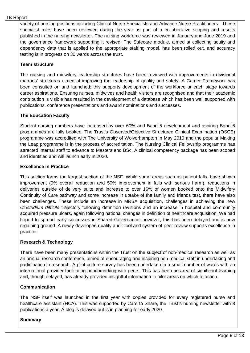variety of nursing positions including Clinical Nurse Specialists and Advance Nurse Practitioners. These specialist roles have been reviewed during the year as part of a collaborative scoping and results published in the nursing newsletter. The nursing workforce was reviewed in January and June 2019 and the governance framework supporting it revised. The Safecare module, aimed at collecting acuity and dependency data that is applied to the appropriate staffing model, has been rolled out, and accuracy testing is in progress on 30 wards across the trust.

# **Team structure**

The nursing and midwifery leadership structures have been reviewed with improvements to divisional matrons' structures aimed at improving the leadership of quality and safety. A Career Framework has been consulted on and launched; this supports development of the workforce at each stage towards career aspirations. Ensuring nurses, midwives and health visitors are recognised and that their academic contribution is visible has resulted in the development of a database which has been well supported with publications, conference presentations and award nominations and successes.

# **The Education Faculty**

Student nursing numbers have increased by over 60% and Band 5 development and aspiring Band 6 programmes are fully booked. The Trust's Observed/Objective Structured Clinical Examination (OSCE) programme was accredited with The University of Wolverhampton in May 2019 and the popular Making the Leap programme is in the process of accreditation. The Nursing Clinical Fellowship programme has attracted internal staff to advance to Masters and BSc. A clinical competency package has been scoped and identified and will launch early in 2020.

# **Excellence in Practice**

This section forms the largest section of the NSF. While some areas such as patient falls, have shown improvement (9% overall reduction and 50% improvement in falls with serious harm), reductions in deliveries outside of delivery suite and increase to over 16% of women booked onto the Midwifery Continuity of Care pathway and some increase in uptake of the family and friends test, there have also been challenges. These include an increase in MRSA acquisition, challenges in achieving the new *Clostridium difficile* trajectory following definition revisions and an increase in hospital and community acquired pressure ulcers, again following national changes in definition of healthcare acquisition. We had hoped to spread early successes in Shared Governance; however, this has been delayed and is now regaining ground. A newly developed quality audit tool and system of peer review supports excellence in practice.

# **Research & Technology**

There have been many presentations within the Trust on the subject of non-medical research as well as an annual research conference, aimed at encouraging and inspiring non-medical staff in undertaking and participation in research. A pilot culture survey has been undertaken in a small number of wards with an international provider facilitating benchmarking with peers. This has been an area of significant learning and, though delayed, has already provided insightful information to pilot areas on which to action.

# **Communication**

The NSF itself was launched in the first year with copies provided for every registered nurse and healthcare assistant (HCA). This was supported by Care to Share, the Trust's nursing newsletter with 8 publications a year. A blog is delayed but is in planning for early 2020.

# **Summary**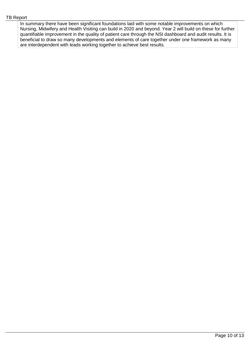In summary there have been significant foundations laid with some notable improvements on which Nursing, Midwifery and Health Visiting can build in 2020 and beyond. Year 2 will build on these for further quantifiable improvement in the quality of patient care through the NSI dashboard and audit results. It is beneficial to draw so many developments and elements of care together under one framework as many are interdependent with leads working together to achieve best results.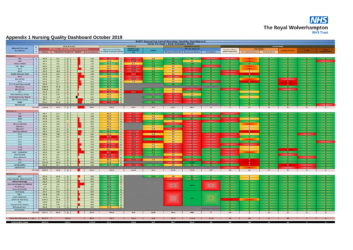

# **Appendix 1 Nursing Quality Dashboard October 2019**

| <b>RWT Executive Level Nursing Quality Dashboard</b>   |                                           |               |                                            |                      |  |                |                                                        |                                                                          |                      |                          |                  |                                   |                                            |                                        |                                      |                        |                          |                            |                                      |
|--------------------------------------------------------|-------------------------------------------|---------------|--------------------------------------------|----------------------|--|----------------|--------------------------------------------------------|--------------------------------------------------------------------------|----------------------|--------------------------|------------------|-----------------------------------|--------------------------------------------|----------------------------------------|--------------------------------------|------------------------|--------------------------|----------------------------|--------------------------------------|
|                                                        | <b>STRUCTURE</b><br>D                     |               |                                            |                      |  |                |                                                        | Data Period = End October 2019<br><b>PROCESS</b><br><b>PATIENT VOICE</b> |                      |                          |                  |                                   | OUTCOME                                    |                                        |                                      |                        |                          |                            |                                      |
| <b>Ward/Clinical</b>                                   |                                           |               | Worldorce - Nursing Whole Time Equivalents |                      |  |                |                                                        |                                                                          | <b>VitalPAC Late</b> |                          | FFT (Q1 2018-19) |                                   |                                            | Falls (Datix)                          |                                      |                        |                          |                            |                                      |
| Location                                               | ٠<br>$\mathbf{v}$                         | <b>Budget</b> | Vacancies / Trend / % ~ Budget             |                      |  | In recruitment | <b>Mandatory Training</b><br>% - trend from last month | Observations<br>C <sub>2</sub>                                           | <b>CHPPD</b>         | <b>Response Rate (%)</b> | Recommendations  | <b>Complaints</b>                 | <b>Pressure Ulcers</b><br>(Datix Reported) | Inc moderate harm                      | Serious harm                         | <b>Cardiac Arrests</b> | C-BIH                    | MISA<br>Acquisitions       |                                      |
|                                                        |                                           |               |                                            |                      |  |                |                                                        |                                                                          |                      |                          |                  |                                   |                                            |                                        |                                      |                        |                          |                            |                                      |
| Division 1<br>AS.                                      | $\mathbf{1}$                              | 39.4          | 3.1                                        |                      |  |                | 1,0                                                    | -89.4                                                                    | <b>Show</b>          | 5.9                      | 761              | <b>KEE</b>                        | - 10                                       | <b>START</b>                           |                                      | <b>CO</b>              | <b>SOF</b>               | $\sim$                     | $\bullet$                            |
| AG                                                     | $\mathbf 1$                               | 39.5          | 3.4                                        | 介                    |  |                | 0.8                                                    | $\Phi$<br>92.6<br>貴                                                      | 17.8                 | $-0.1$                   | 651              | 30                                | <b>ROT</b>                                 | io.                                    |                                      | 50.                    | <b>KON</b>               | <b>OF</b>                  | $-1$                                 |
| <b>Hilton Main</b>                                     | $\mathbf{1}$                              | 40.1          | 3.5                                        | ÷                    |  |                | 1.0                                                    | 97.7<br>T                                                                | 8.2                  | <b>But</b>               | 100              | $-1.68$                           | <b>CON</b>                                 | <b>SOF</b>                             | 100 <sup>o</sup>                     | <b>Sec</b>             | <b>SOF</b>               | <b>COM</b>                 | $-0-$                                |
| A9 - SEU                                               | $\mathbf{1}$                              | 69.6          | 2.8                                        | $\Phi$               |  |                | 1.0.                                                   | 93.9<br>會                                                                | $-1.51.91$           | $-6.8$                   | 22               | $-57.$                            | <b>STAR</b>                                | <b>NOE</b>                             |                                      | o.                     | (0)                      | <b>KOV</b>                 | $\bullet$                            |
| A12                                                    | $\mathbf{I}$                              | 36.9          | 4.3                                        | 音                    |  |                | O.O                                                    | $\ddot{\phantom{1}}$<br>90.2                                             | 18.9                 | 5.9                      | 25               | <b>Colub</b>                      | <b>SECTION</b>                             | - 69                                   |                                      | u op                   | Ho .                     | $-0+$                      | $-0-$                                |
| A14                                                    | $\mathbf{1}$                              | 37.2          | $-0.2$                                     | $\ddot{\phantom{1}}$ |  |                | 1.0                                                    | <b>SERVICE</b><br>$\ddot{\phantom{1}}$                                   | 25.6                 | $-6836$                  | 21               | <b>BOARD</b>                      | io.                                        | <b>START</b>                           | $-11$                                | ica i                  | and in                   | <b>CO</b>                  | $\bullet$                            |
| (C39) Beynon SSU                                       | $\mathbf{1}$                              | 27A           | 3.4                                        | 县                    |  |                | 1.0                                                    | 966<br>音                                                                 | 11.9                 | 6.8                      | 35               | sin,                              | o.                                         | <b>CONTRACT</b>                        | ×                                    | no.                    | HO.<br>HO.               | -o.                        | $\bullet$                            |
| A23<br>BB(CTW)                                         | $\mathbf{a}$<br>$\mathbf{1}$              | 23.6<br>50.9  | 5.0<br>3.7                                 | JE.                  |  |                | 2.0<br>2.0                                             | $\hat{v}$<br>90.8<br>音<br>97.51                                          | -40946<br>19.31      | 6.5 <sub>1</sub><br>6:2  | 480<br>36        | $\bullet$<br>553                  | $\alpha$<br>$\bullet$                      | -a-<br>vo.                             | $\alpha$                             | io.<br>o.              | <b>CARD</b>              | -01<br><b>KON</b>          | $\bullet$<br>$\bullet$               |
| 814                                                    | $\mathbf{1}$                              | 61.6          | 6.5                                        | 玉                    |  |                | 3.0                                                    | 97.0<br>全                                                                | 7.9                  | 5750                     | 35               | <b>AMP</b>                        | m                                          | -63                                    | $\overline{a}$                       | <b>KOL</b>             | $\bullet$                | <b>COM</b>                 | $\bullet$                            |
| <b>B15 (Card Day ward)</b>                             | $\mathbf{1}$                              | 30.0          | 3.7                                        |                      |  |                | 2.0                                                    | 97.3<br>音                                                                |                      |                          | 44               | 49                                | <b>IO</b>                                  | NO.                                    | 6O)                                  | KO.                    | $\rightarrow$            | <b>OF</b>                  | $\bullet$                            |
| <b>Theatres</b>                                        | $\mathbf{1}$                              | 294.9         | 13.4                                       | 介                    |  |                | 3.0                                                    | 96.2<br>企                                                                |                      |                          |                  |                                   |                                            | $\overline{\mathbf{a}}$                | $\mathbf{G}$                         | <b>INDE</b>            | <b>INTER</b>             | - 610                      | $-0-$                                |
| <b>B9 (ICCU)</b>                                       | $\mathbf{1}$                              | 158.4         | 5.8                                        | 音                    |  |                | 2.0                                                    | 94.4<br>音                                                                |                      | 29.3                     | 33               | $\mathbf{R}$                      | <b>KOS</b>                                 | <b>COMPLE</b>                          | ×o.                                  | ko.                    | 50.00                    | <b>KOU</b>                 | $\bullet$                            |
| DZ                                                     | $\mathbf{1}$                              | 34.4          | 0.5                                        |                      |  |                | 0.0                                                    | -8697<br>$+5$                                                            | 12.5                 | 19630                    | 27               | $\overline{a}$                    | xo.                                        | <b>KOR</b>                             | $\mathbf{I}$                         | $\bullet$              | -01                      | <b>TO</b>                  | $\mathbf{0}$                         |
| <b>D16 Delivery Suite</b><br><b>D10 Maternity Ward</b> | $\mathbf{1}$<br>$\mathbf{1}$              | 91.3<br>46.3  | 3.6<br>$-2.2$                              | $\hat{u}$            |  |                | 0.4<br>1.6                                             | 93.3<br>音<br>92.2                                                        |                      | 988                      | $-10-$<br>$-16$  | 39<br>1000                        | $\bullet$<br>ro.                           | io.<br><b>NON</b>                      | $\bullet$<br>$\mathbf{L}$            | iko.<br>NO.            | -01<br><b>KOP</b>        | -0-<br>$\overline{10}$     | $\bullet$<br>$\overline{\mathbf{0}}$ |
| <b>D9 (Trans Care)</b>                                 | $\mathbf{I}$                              | 18.1          | 3.1                                        | Æ.                   |  |                | O.O                                                    | 音<br>-95.81<br>宜                                                         |                      |                          | $-01$            | $-0-$                             | $\bullet$                                  | io i                                   | <b>SOF</b>                           | ilo.                   | <b>COL</b>               | -i o k                     | $\bullet$                            |
| <b>NNU</b>                                             | $\mathbf{1}$                              | 91.2          | 12.3                                       | $\hat{v}$            |  |                | $\mathcal{T}.\mathcal{T}$                              | 音<br>89.4                                                                |                      | 19.2                     | <b>COM</b>       | -0.                               | $\bullet$                                  | <b>SOM</b>                             | <b>O</b>                             | <b>KOL</b>             | $\bullet$                | <b>D</b>                   | $\bullet$                            |
| <b>Divisional</b>                                      |                                           |               |                                            |                      |  |                |                                                        |                                                                          |                      |                          |                  |                                   |                                            | œ                                      | <b>OF</b>                            | o.                     | $\bullet$                | -01                        | <b>START</b>                         |
|                                                        | <b>TOTAL</b>                              | 1190.8        | 75.6                                       | 音                    |  |                | 29.5                                                   | 93.3                                                                     | 16.1                 | 9.2                      | 33.1             | 38.1                              | $\mathbf{a}$                               | $\overline{\phantom{a}}$               | 21                                   | $\bullet$              | $\bf{a}$                 | $\alpha$                   | $\overline{z}$                       |
| Division 2                                             |                                           |               |                                            |                      |  |                |                                                        |                                                                          |                      |                          |                  |                                   |                                            |                                        |                                      |                        |                          |                            |                                      |
| A7                                                     | $\overline{z}$                            | 39.7          | 0.3                                        | 會                    |  |                | 1.0                                                    | 93.2<br>÷                                                                | 12010                | (6.3)                    | 43               | 21                                | $\bullet$                                  | <b>COMPANY</b>                         | <b>SOF</b>                           | 40.                    | <b>SOR</b>               | 30.8                       | $\bullet$                            |
| <b>AB</b>                                              | $\overline{2}$                            | 39.8          | 0.5                                        | $-9o$                |  |                | 3.0                                                    | 93.2<br>$\Phi$                                                           | <b>SOME</b>          | 5.7                      | <b>START</b>     | <b>SILLER</b>                     | 24                                         | $-0.1$                                 | <b>SOP</b>                           | ×о.                    | <b>NOR</b>               | <b>KO</b>                  | $\bullet$                            |
| <b>ASU</b>                                             | $\mathbf{z}$                              | 65.4          | 4.4                                        | 全                    |  |                | 1.0                                                    | 93.4<br>$\Phi$                                                           | -2200                | 5.8                      | 100 <sub>1</sub> | 1994                              | ю.                                         | <b>START OF</b>                        | $\mathbf{1}$                         | -0.                    | HO H                     | <b>OF</b>                  | $\bullet$                            |
| C22<br><b>Neuro Rehab</b>                              | $\overline{\mathbf{z}}$<br>$\overline{z}$ | 35.6<br>21.5  | 2.4<br>2.8                                 |                      |  |                | 0.0<br>0.0                                             | 92.1<br>$\hat{Y}$<br>91.9<br>全                                           | 1984                 | 1943<br>1863             | 20.<br><b>A</b>  | $\rightarrow$<br>$\sim$ 2 $-$     | me i<br>iio.                               | <b>START</b><br>$-102$                 | $\bullet$                            | KO.<br>KO.             | $\bullet$<br><b>io</b>   | $\bullet$<br>- or          | $\bullet$<br>$\bullet$               |
| Ward 1                                                 | $\overline{z}$                            | 30.2          | 4.2                                        | 卫                    |  |                | 3.0                                                    | 94.4<br>$\frac{1}{2}$                                                    |                      | 5.7                      | 100              | $-18.$                            | no.                                        | $-0$                                   | $\mathbf{1}$                         | KO.                    | $\alpha$                 | <b>CON</b>                 | $\overline{\mathbf{0}}$              |
| Ward 2                                                 | $\mathbf{z}$                              | 30.2          | $-0.1$                                     | $\mathbf{u}$         |  |                | 1.0                                                    | 90.5<br>县                                                                |                      | 5.4                      | 1449             | <b>START AND</b>                  | ×o-                                        | $-10+$                                 | $\mathbf{H}$                         | in Ch                  | <b>SOF</b>               | -to-                       | $-0$                                 |
| <b>Fairoak Ward</b>                                    | $\overline{2}$                            | 30.2          | 4.6                                        | $\mathbf{r}$         |  |                | 1.0                                                    | 98.3<br>$\overline{\mathcal{L}}$                                         | $-12.77$             | 4.11                     | 35               | <b>Contract Contract Contract</b> | <b>SOF</b>                                 | <b>SOF</b>                             | 6                                    | HO.                    | <b>COM</b>               | <b>CON</b>                 | $-0-$                                |
| C15                                                    | $\mathbf{z}$                              | 28.9          | 3.8                                        | $\overline{a}$       |  |                | 5.6                                                    | 音<br>92.5                                                                | <b>CONTRACT</b>      | $5.3^{\circ}$            | 27               | $\mathbf{B}$                      | $\rightarrow$                              | <b>START OF</b>                        | $\mathbf{r}$                         | in Chi                 | io.                      | <b>Taxable</b>             | $\bullet$                            |
| C16                                                    | $\overline{z}$                            | 35.3          | 0.4                                        | 全                    |  |                | 0.0                                                    | 喜會<br>82.4                                                               | <b>CONST</b>         |                          | 31               | $-10 -$                           | <b>Contractor</b>                          | <b>START</b>                           | -ok                                  | io.                    | $\bullet$                | <b>o</b>                   | $\bullet$                            |
| C17<br>C <sub>24</sub>                                 | $\mathbf{z}$                              | 28.2<br>36.5  | 2.1                                        |                      |  |                | O.O                                                    | 187.0                                                                    | $-300.4$             | $6.2 -$                  | 33<br>20         | $-6 -$                            | <b>CONTRACTOR</b>                          | <b>SOU</b>                             |                                      | <b>O</b>               | <b>SOF</b>               | <b>O</b>                   | $\bullet$                            |
| C25                                                    | $\overline{z}$<br>$\overline{z}$          | 36.5          | 2.5<br>5.3                                 | 音<br>音               |  |                | 2.0<br>2.0                                             | 90.6<br>音<br>180.0                                                       | 2883<br><b>CONST</b> | 48.50<br>Sub-            | $-10$            | $-44 -$<br>$\sim$                 | <b>Contractor</b>                          | 503<br><b>CONTRACT</b>                 | 80<br><b>SALE</b>                    | -o-<br>< 0             | <b>COM</b><br><b>FOR</b> | -On<br>-o-                 | <b>PARTIES</b><br>$\bullet$          |
| C18                                                    | $\mathbf{2}$                              | 35.5          | 2.9                                        | ÷                    |  |                | 2.0                                                    | 廿<br>187.9<br>$\ddot{\phantom{1}}$                                       | 24.91                | 5.9                      | $-15$            | <b>Contract Contract</b>          | $-2$                                       | HO-                                    | $\sim 1$ .                           | ×o.                    | <b>CON</b>               | <b>CON</b>                 | $\bullet$                            |
| C19                                                    | $\overline{\mathbf{z}}$                   | 35.3          | 4.7                                        | 合                    |  |                | 2.0                                                    | 93.1<br>$\hat{Y}$                                                        | $-3005$              | <b>Info</b>              | $-100$           | <b>Contract Contract</b>          | tion.                                      | <b>START</b>                           | $\mathbf{1}$                         | HΘ.                    |                          | - 01                       | $\bullet$                            |
| C35 - Deanesly                                         | $\mathbf{z}$                              | 29.5          | 7.8                                        | æ.                   |  |                | 0.0                                                    | 84.7<br>÷                                                                | 25.0                 | 6.5                      | 169              | $-4-$                             | <b>HOL</b>                                 | <b>CONTRACTOR</b>                      |                                      | NO.                    | <b>FOR</b>               | <b>COM</b>                 | $\bullet$                            |
| <b>B11(CHU)</b>                                        | $\mathbf{z}$                              | 45.2          | 2.5.                                       | 合                    |  |                | 1,0                                                    | 18649<br>$\ddot{\phantom{1}}$                                            | <b>States</b>        | $-252$                   | 20               | $-8$                              | no.                                        | <b>START</b>                           | 103                                  | in Ca                  | <b>Station</b>           | $-01$                      | $\bullet$                            |
| <b>Durnall Unit</b>                                    | $\overline{z}$                            | 15.4<br>47.3  | 0.3                                        | 介                    |  |                | 0.0                                                    | 499.00<br>音<br>90.3                                                      | (3, 9)<br>3500       | 5.9                      | 484<br>22        | $-44$                             | io.<br>-lo-                                | $-0.5$                                 | <b>COLL</b>                          | ica.<br>-a-            | $\bullet$<br><b>SOF</b>  | <b>START</b><br><b>KOV</b> | $\overline{\mathbf{o}}$<br>-o-       |
| C41<br>ED                                              | $\overline{z}$<br>$\mathbf{z}$            | 151.8         | 2.9<br>15.6                                | <b>fir</b><br>d.     |  |                | 3.0<br>8.8                                             | $\ddot{\phantom{1}}$<br>全<br>93.8                                        |                      |                          | 16 <sub>1</sub>  | $-101$<br>1284                    | <b>Hotel</b>                               | $\sim 20$<br><b>COLOR</b>              | $\overline{\mathbf{z}}$<br>$\bullet$ | kO.                    | <b>O</b>                 | $\bullet$                  | $\bullet$                            |
| $(C58)$ AMU                                            | $\mathbf{z}$                              | 85.9          | 4.1                                        | 合                    |  |                | 5.0                                                    | 97.7<br>音                                                                | 1989                 | 260                      | 24               | <b>ASSAU</b>                      | <b>CO</b>                                  | io.                                    | 7.                                   | ko.                    | $\bullet$                | <b>START</b>               | $\bullet$                            |
| <b>Divisional</b>                                      |                                           |               |                                            |                      |  |                |                                                        |                                                                          |                      |                          |                  |                                   |                                            | <b>START</b>                           |                                      | nO.                    | <b>CONTRACT</b>          | <b>Taxa</b>                | $\bullet$                            |
|                                                        | <b>TOTAL</b>                              | 903.9         | 73.8                                       | 音                    |  |                | 41.4                                                   | 90.9                                                                     | 26.0                 | 6.1                      | 27.8             | 75.6                              | 24                                         | 18                                     | 41                                   | $\circ$                | $\mathbf{g}$             | 6                          | $\mathbf{1}$                         |
| Division 3                                             |                                           |               |                                            |                      |  |                |                                                        |                                                                          |                      |                          |                  |                                   |                                            |                                        |                                      |                        |                          |                            |                                      |
| A21                                                    | 3.                                        | 91.3          | 12.0                                       | 10                   |  |                | 3.0                                                    | 99.7<br>甘                                                                |                      | 12.8                     | 30               | 19550                             | <b>MON</b>                                 | <b>SOF</b>                             | $\mathbf{I}$                         | <b>COL</b>             | <b>CON</b>               | <b>CON</b>                 | $\alpha$                             |
| Com Paeds- Gem Centre                                  | $\overline{\mathbf{3}}$                   | 30.8          | 1.2                                        | 音                    |  |                | 0.0                                                    | 97.6<br>音                                                                |                      |                          | <b>START</b>     | dor                               | $\mathbf{O}$                               | <b>ROAD</b>                            | $\mathbf{1}$                         | $-0.$                  | <b>KOR</b>               | <b>ON</b>                  | $\bullet$                            |
| Rheumatology                                           | $3 -$                                     | 16.3          | 1.9                                        | $\cdot$              |  |                | 0.0                                                    | 97.2<br>介                                                                |                      |                          |                  |                                   |                                            | <b>CON</b>                             | ko.                                  | HO-                    | $\bullet$                | - o-                       | $\bullet$                            |
| Dematology (CCH&NX)<br>Radiology                       | $\mathbf{a}$<br>$\mathbf{3}$              | 21.0<br>5.4   | 7.2<br>0.7                                 | 音<br>西               |  |                | 1.0<br>0,0                                             | 97.3<br>$\ddot{\phantom{1}}$<br>96.8                                     |                      |                          | $17$             | 2916                              | -9.                                        | <b>NOR</b><br>$\overline{\phantom{a}}$ | <b>COL</b><br>$10\,\mathrm{s}$       | кo.<br>steri           | <b>KOR</b><br><b>SOF</b> | $\sim$ 000<br>- i o li     | $\bullet$<br>$\bullet$               |
| Sexual Health                                          | $\bullet$                                 | 35.4          | 0.3                                        | $\hat{w}$            |  |                | 0.0                                                    | 會<br>97.9<br>音                                                           |                      |                          |                  |                                   |                                            | $-0+$                                  | <b>SOL</b>                           | <b>KOM</b>             | <b>SOF</b>               | $\overline{\mathbf{0}}$    | $-0-$                                |
| Anticoag                                               | $\mathbf{3}$                              | 13.7          | O.S.                                       | 基                    |  |                | 0.0                                                    | 全<br>97.8                                                                |                      |                          |                  |                                   |                                            | <b>STATE</b>                           | <b>SOF</b>                           | no.                    | and with                 | <b>SOF</b>                 | $\bullet$                            |
| <b>CICT</b>                                            | $\mathbf{a}$                              | 24.4          | 2.6                                        |                      |  |                | 4.8                                                    | 全<br>98.2                                                                |                      |                          |                  |                                   |                                            | <b>ID</b>                              | ico i                                | ×.                     | <b>O</b>                 | <b>O</b>                   | $\mathbf{o}$                         |
| <b>Com Matrons</b>                                     | $\mathbf{3}$                              | 11.4          | 0.7                                        | fir                  |  |                | 0.0                                                    | $\hat{\mathbf{r}}$<br>95.8                                               |                      |                          | $\mathbf{B}$ .   | 709                               | $\mathbf{o}$ .                             | io.                                    | <b>CON</b>                           | ίO.                    | o.                       | $\overline{\mathbf{O}}$    | $\sigma$                             |
| <b>District Nursing</b>                                | $\mathbf{B}$                              | 129.1         | 14.8                                       |                      |  |                | 3.6                                                    | $\hat{\mathbf{T}}$<br>95.4                                               |                      |                          |                  |                                   |                                            |                                        |                                      | kO.                    | $-0.0$                   | <b>SOF</b>                 | $\bullet$                            |
| <b>RIT</b>                                             | $\mathbf{a}$                              | 31.0          | 0.3                                        | 合                    |  |                | 0.0                                                    | 音<br>974                                                                 |                      |                          |                  |                                   |                                            | aio a                                  | ing)                                 | ice i                  | <b>CON</b>               | <b>O</b>                   | $\bullet$                            |
| <b>Hospital at Home</b><br><b>Primary Care</b>         | $\mathbf{3}$<br>$\mathbf{B}$              | 13.9<br>94.0  | 1.6<br>$-1.9$                              | n <sup>2</sup>       |  |                | 0.0<br>0.0                                             | -92.1<br>金<br>$\hat{\mathbf{r}}$<br>91.8                                 |                      |                          |                  |                                   |                                            | <b>ROA</b><br><b>IXON</b>              | $\bullet$<br>600                     | mo.<br>кo.             | <b>REPAR</b><br>ko k     | -01<br><b>KON</b>          | $\bullet$<br>$\bullet$               |
| <b>Divisional</b>                                      |                                           |               |                                            |                      |  |                |                                                        |                                                                          |                      |                          |                  |                                   |                                            | <b>IO</b>                              | <b>CO</b>                            | KO.                    | $\mathbf{O}$             | <b>SOF</b>                 | $\bullet$                            |
|                                                        | <b>TOTAL</b>                              | 517.7         | 42.3                                       | 全                    |  |                | 12.4                                                   | 96.9                                                                     | 0.0                  | 12.8                     | 16.5             | 402                               | 9                                          | 19                                     | $\mathbf{A}$                         | $\mathbf{o}$           | $\alpha$                 | $\alpha$                   | $\mathbf{o}$                         |
|                                                        |                                           |               |                                            |                      |  |                |                                                        |                                                                          |                      |                          |                  |                                   |                                            |                                        |                                      |                        |                          |                            |                                      |
| Total for Divisions 1, 2 & 3 2612.3                    |                                           |               |                                            | 191.6                |  |                | 83.3                                                   | 93.3                                                                     | 24.2                 | 6.8                      | 25.4             | 171.9                             | 37.0                                       | 44                                     |                                      |                        | 16                       |                            |                                      |
| <b>September Data</b>                                  |                                           |               |                                            |                      |  |                |                                                        |                                                                          |                      |                          |                  | 65.5                              |                                            |                                        |                                      |                        |                          |                            |                                      |
|                                                        |                                           |               |                                            |                      |  |                |                                                        |                                                                          |                      |                          |                  |                                   |                                            |                                        |                                      |                        |                          |                            |                                      |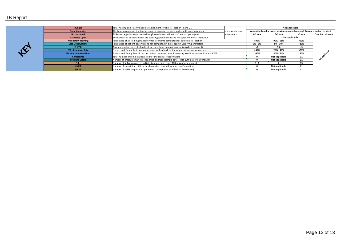| <b>Budget</b>                | Total nursing and HCSW funded establishment for clinical location - Band 2-7                     |                                                                               |                | Not applicable |        |                         |  |  |
|------------------------------|--------------------------------------------------------------------------------------------------|-------------------------------------------------------------------------------|----------------|----------------|--------|-------------------------|--|--|
| <b>Total Vacancies</b>       | The total vacancies at the time of report = number recruited added with open vacancies           | Vacancies: trend arrow v. previous month: bar graph % over v. under recruited |                |                |        |                         |  |  |
| No. recruited                | All known appointments made through recruitment - these staff are not yet in post<br>equivalents |                                                                               |                | 3-5 wte        | >5 wte | <b>Over Recruitment</b> |  |  |
| <b>Vacancies Open</b>        | The number of positons which are awaiting appointment and not appointed to at interview          | Not applicable                                                                |                |                |        |                         |  |  |
| <b>Mandatory Training</b>    | Percentage of all training mandatory requirements completed for each clinical location           | >95%                                                                          | 90% - 95%      | <90%           |        |                         |  |  |
| <b>Late Observations</b>     | Percentage of patient observations not completed in time, against VitalPAC parameters            | $0\% - 5\%$                                                                   | 5% - 10%       | >10%           |        |                         |  |  |
| <b>CHPPD</b>                 | An equation for the cost of patient care per (total hours of care delivery/bed occupied)         | >6                                                                            | 5-6            | <5             |        |                         |  |  |
| FFT - Response Rate          | Friends and Family Test - patient experience feedback by the volume of patient responses         |                                                                               |                |                | < 20%  |                         |  |  |
| <b>FFT - Recommendations</b> | Friends and Family Test - from the patient response rates, how many would recommend care at RWT  | >90%                                                                          | 80% - 90%      | <80%           |        |                         |  |  |
| <b>Complaints</b>            | Total number of complaint received for the clinical location/ward                                |                                                                               | Not applicable |                |        |                         |  |  |
| <b>Pressure Ulcers</b>       | Number of pressure injuries as reported on Datix (sample date - circa 10th day of new month)     |                                                                               |                |                |        |                         |  |  |
| <b>Falls</b>                 | Number of falls as reported on Datix (sample date - circa 10th day of new month)                 |                                                                               |                |                | >3     |                         |  |  |
| C-diff                       | Number of clostridium difficile incidences (as reported by Infection Prevention)                 |                                                                               | Not applicable | ≥1             |        |                         |  |  |
| <b>MRSA</b>                  | Number of MRSA acquisitions per month (as reported by Infection Prevention)                      |                                                                               | Not applicable | >1             |        |                         |  |  |